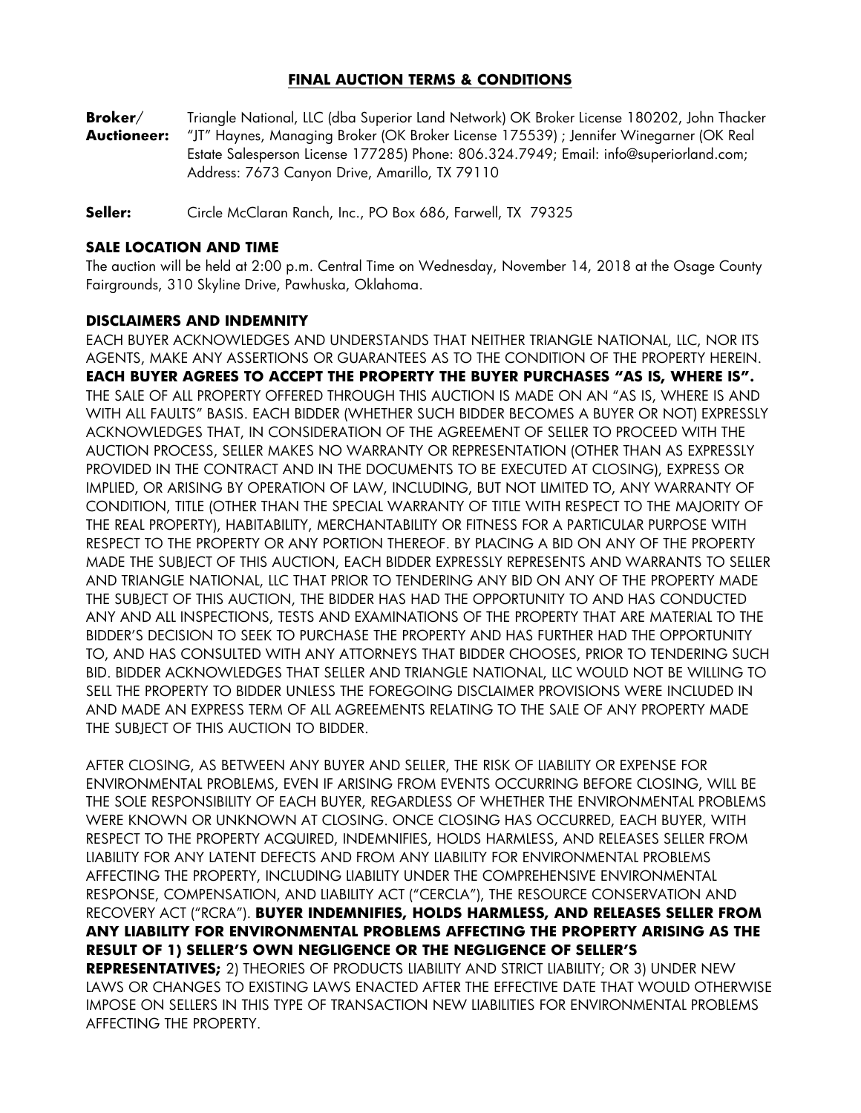# **FINAL AUCTION TERMS & CONDITIONS**

**Broker**/ Triangle National, LLC (dba Superior Land Network) OK Broker License 180202, John Thacker **Auctioneer:** "JT" Haynes, Managing Broker (OK Broker License 175539) ; Jennifer Winegarner (OK Real Estate Salesperson License 177285) Phone: 806.324.7949; Email: info@superiorland.com; Address: 7673 Canyon Drive, Amarillo, TX 79110

**Seller:** Circle McClaran Ranch, Inc., PO Box 686, Farwell, TX 79325

#### **SALE LOCATION AND TIME**

The auction will be held at 2:00 p.m. Central Time on Wednesday, November 14, 2018 at the Osage County Fairgrounds, 310 Skyline Drive, Pawhuska, Oklahoma.

#### **DISCLAIMERS AND INDEMNITY**

EACH BUYER ACKNOWLEDGES AND UNDERSTANDS THAT NEITHER TRIANGLE NATIONAL, LLC, NOR ITS AGENTS, MAKE ANY ASSERTIONS OR GUARANTEES AS TO THE CONDITION OF THE PROPERTY HEREIN. **EACH BUYER AGREES TO ACCEPT THE PROPERTY THE BUYER PURCHASES "AS IS, WHERE IS".**  THE SALE OF ALL PROPERTY OFFERED THROUGH THIS AUCTION IS MADE ON AN "AS IS, WHERE IS AND WITH ALL FAULTS" BASIS. EACH BIDDER (WHETHER SUCH BIDDER BECOMES A BUYER OR NOT) EXPRESSLY ACKNOWLEDGES THAT, IN CONSIDERATION OF THE AGREEMENT OF SELLER TO PROCEED WITH THE AUCTION PROCESS, SELLER MAKES NO WARRANTY OR REPRESENTATION (OTHER THAN AS EXPRESSLY PROVIDED IN THE CONTRACT AND IN THE DOCUMENTS TO BE EXECUTED AT CLOSING), EXPRESS OR IMPLIED, OR ARISING BY OPERATION OF LAW, INCLUDING, BUT NOT LIMITED TO, ANY WARRANTY OF CONDITION, TITLE (OTHER THAN THE SPECIAL WARRANTY OF TITLE WITH RESPECT TO THE MAJORITY OF THE REAL PROPERTY), HABITABILITY, MERCHANTABILITY OR FITNESS FOR A PARTICULAR PURPOSE WITH RESPECT TO THE PROPERTY OR ANY PORTION THEREOF. BY PLACING A BID ON ANY OF THE PROPERTY MADE THE SUBJECT OF THIS AUCTION, EACH BIDDER EXPRESSLY REPRESENTS AND WARRANTS TO SELLER AND TRIANGLE NATIONAL, LLC THAT PRIOR TO TENDERING ANY BID ON ANY OF THE PROPERTY MADE THE SUBJECT OF THIS AUCTION, THE BIDDER HAS HAD THE OPPORTUNITY TO AND HAS CONDUCTED ANY AND ALL INSPECTIONS, TESTS AND EXAMINATIONS OF THE PROPERTY THAT ARE MATERIAL TO THE BIDDER'S DECISION TO SEEK TO PURCHASE THE PROPERTY AND HAS FURTHER HAD THE OPPORTUNITY TO, AND HAS CONSULTED WITH ANY ATTORNEYS THAT BIDDER CHOOSES, PRIOR TO TENDERING SUCH BID. BIDDER ACKNOWLEDGES THAT SELLER AND TRIANGLE NATIONAL, LLC WOULD NOT BE WILLING TO SELL THE PROPERTY TO BIDDER UNLESS THE FOREGOING DISCLAIMER PROVISIONS WERE INCLUDED IN AND MADE AN EXPRESS TERM OF ALL AGREEMENTS RELATING TO THE SALE OF ANY PROPERTY MADE THE SUBJECT OF THIS AUCTION TO BIDDER.

AFTER CLOSING, AS BETWEEN ANY BUYER AND SELLER, THE RISK OF LIABILITY OR EXPENSE FOR ENVIRONMENTAL PROBLEMS, EVEN IF ARISING FROM EVENTS OCCURRING BEFORE CLOSING, WILL BE THE SOLE RESPONSIBILITY OF EACH BUYER, REGARDLESS OF WHETHER THE ENVIRONMENTAL PROBLEMS WERE KNOWN OR UNKNOWN AT CLOSING. ONCE CLOSING HAS OCCURRED, EACH BUYER, WITH RESPECT TO THE PROPERTY ACQUIRED, INDEMNIFIES, HOLDS HARMLESS, AND RELEASES SELLER FROM LIABILITY FOR ANY LATENT DEFECTS AND FROM ANY LIABILITY FOR ENVIRONMENTAL PROBLEMS AFFECTING THE PROPERTY, INCLUDING LIABILITY UNDER THE COMPREHENSIVE ENVIRONMENTAL RESPONSE, COMPENSATION, AND LIABILITY ACT ("CERCLA"), THE RESOURCE CONSERVATION AND RECOVERY ACT ("RCRA"). **BUYER INDEMNIFIES, HOLDS HARMLESS, AND RELEASES SELLER FROM ANY LIABILITY FOR ENVIRONMENTAL PROBLEMS AFFECTING THE PROPERTY ARISING AS THE RESULT OF 1) SELLER'S OWN NEGLIGENCE OR THE NEGLIGENCE OF SELLER'S REPRESENTATIVES;** 2) THEORIES OF PRODUCTS LIABILITY AND STRICT LIABILITY; OR 3) UNDER NEW LAWS OR CHANGES TO EXISTING LAWS ENACTED AFTER THE EFFECTIVE DATE THAT WOULD OTHERWISE IMPOSE ON SELLERS IN THIS TYPE OF TRANSACTION NEW LIABILITIES FOR ENVIRONMENTAL PROBLEMS AFFECTING THE PROPERTY.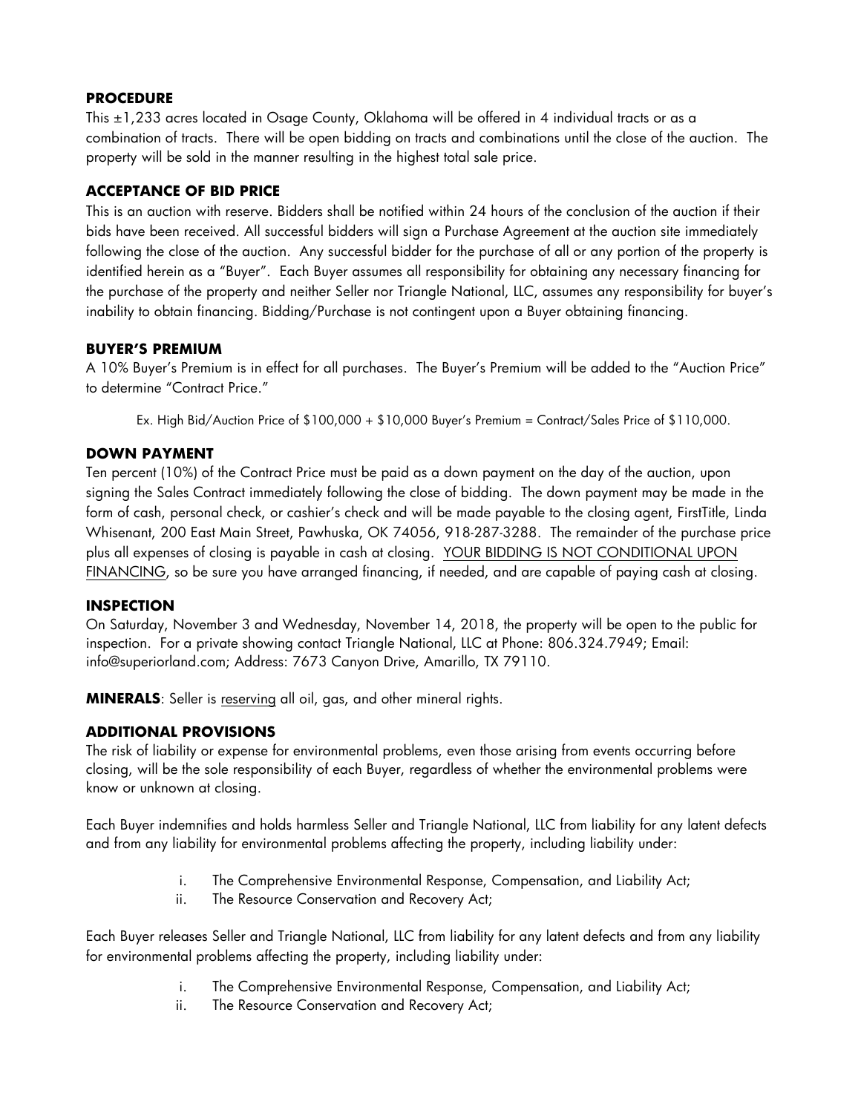#### **PROCEDURE**

This ±1,233 acres located in Osage County, Oklahoma will be offered in 4 individual tracts or as a combination of tracts. There will be open bidding on tracts and combinations until the close of the auction. The property will be sold in the manner resulting in the highest total sale price.

### **ACCEPTANCE OF BID PRICE**

This is an auction with reserve. Bidders shall be notified within 24 hours of the conclusion of the auction if their bids have been received. All successful bidders will sign a Purchase Agreement at the auction site immediately following the close of the auction. Any successful bidder for the purchase of all or any portion of the property is identified herein as a "Buyer". Each Buyer assumes all responsibility for obtaining any necessary financing for the purchase of the property and neither Seller nor Triangle National, LLC, assumes any responsibility for buyer's inability to obtain financing. Bidding/Purchase is not contingent upon a Buyer obtaining financing.

### **BUYER'S PREMIUM**

A 10% Buyer's Premium is in effect for all purchases. The Buyer's Premium will be added to the "Auction Price" to determine "Contract Price."

Ex. High Bid/Auction Price of \$100,000 + \$10,000 Buyer's Premium = Contract/Sales Price of \$110,000.

### **DOWN PAYMENT**

Ten percent (10%) of the Contract Price must be paid as a down payment on the day of the auction, upon signing the Sales Contract immediately following the close of bidding. The down payment may be made in the form of cash, personal check, or cashier's check and will be made payable to the closing agent, FirstTitle, Linda Whisenant, 200 East Main Street, Pawhuska, OK 74056, 918-287-3288. The remainder of the purchase price plus all expenses of closing is payable in cash at closing. YOUR BIDDING IS NOT CONDITIONAL UPON FINANCING, so be sure you have arranged financing, if needed, and are capable of paying cash at closing.

#### **INSPECTION**

On Saturday, November 3 and Wednesday, November 14, 2018, the property will be open to the public for inspection. For a private showing contact Triangle National, LLC at Phone: 806.324.7949; Email: info@superiorland.com; Address: 7673 Canyon Drive, Amarillo, TX 79110.

**MINERALS**: Seller is reserving all oil, gas, and other mineral rights.

# **ADDITIONAL PROVISIONS**

The risk of liability or expense for environmental problems, even those arising from events occurring before closing, will be the sole responsibility of each Buyer, regardless of whether the environmental problems were know or unknown at closing.

Each Buyer indemnifies and holds harmless Seller and Triangle National, LLC from liability for any latent defects and from any liability for environmental problems affecting the property, including liability under:

- i. The Comprehensive Environmental Response, Compensation, and Liability Act;
- ii. The Resource Conservation and Recovery Act;

Each Buyer releases Seller and Triangle National, LLC from liability for any latent defects and from any liability for environmental problems affecting the property, including liability under:

- i. The Comprehensive Environmental Response, Compensation, and Liability Act;
- ii. The Resource Conservation and Recovery Act;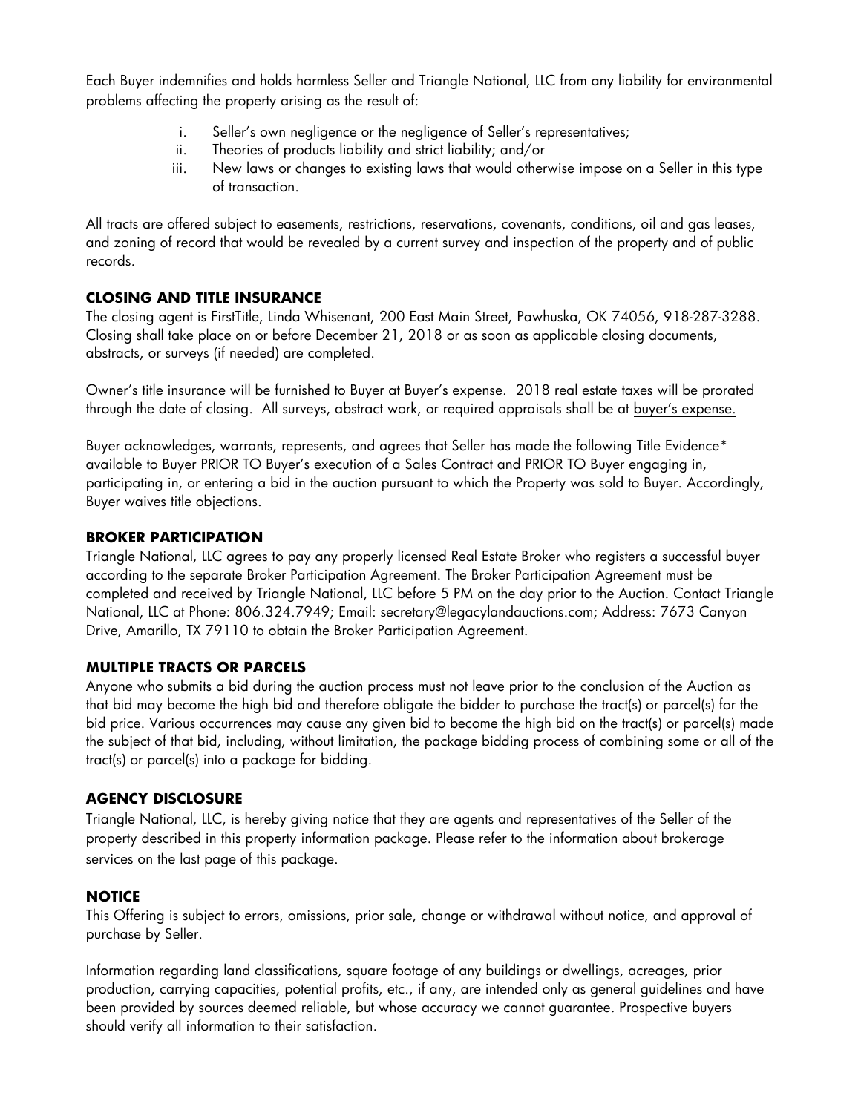Each Buyer indemnifies and holds harmless Seller and Triangle National, LLC from any liability for environmental problems affecting the property arising as the result of:

- i. Seller's own negligence or the negligence of Seller's representatives;
- ii. Theories of products liability and strict liability; and/or
- iii. New laws or changes to existing laws that would otherwise impose on a Seller in this type of transaction.

All tracts are offered subject to easements, restrictions, reservations, covenants, conditions, oil and gas leases, and zoning of record that would be revealed by a current survey and inspection of the property and of public records.

# **CLOSING AND TITLE INSURANCE**

The closing agent is FirstTitle, Linda Whisenant, 200 East Main Street, Pawhuska, OK 74056, 918-287-3288. Closing shall take place on or before December 21, 2018 or as soon as applicable closing documents, abstracts, or surveys (if needed) are completed.

Owner's title insurance will be furnished to Buyer at Buyer's expense. 2018 real estate taxes will be prorated through the date of closing. All surveys, abstract work, or required appraisals shall be at buyer's expense.

Buyer acknowledges, warrants, represents, and agrees that Seller has made the following Title Evidence\* available to Buyer PRIOR TO Buyer's execution of a Sales Contract and PRIOR TO Buyer engaging in, participating in, or entering a bid in the auction pursuant to which the Property was sold to Buyer. Accordingly, Buyer waives title objections.

### **BROKER PARTICIPATION**

Triangle National, LLC agrees to pay any properly licensed Real Estate Broker who registers a successful buyer according to the separate Broker Participation Agreement. The Broker Participation Agreement must be completed and received by Triangle National, LLC before 5 PM on the day prior to the Auction. Contact Triangle National, LLC at Phone: 806.324.7949; Email: secretary@legacylandauctions.com; Address: 7673 Canyon Drive, Amarillo, TX 79110 to obtain the Broker Participation Agreement.

#### **MULTIPLE TRACTS OR PARCELS**

Anyone who submits a bid during the auction process must not leave prior to the conclusion of the Auction as that bid may become the high bid and therefore obligate the bidder to purchase the tract(s) or parcel(s) for the bid price. Various occurrences may cause any given bid to become the high bid on the tract(s) or parcel(s) made the subject of that bid, including, without limitation, the package bidding process of combining some or all of the tract(s) or parcel(s) into a package for bidding.

#### **AGENCY DISCLOSURE**

Triangle National, LLC, is hereby giving notice that they are agents and representatives of the Seller of the property described in this property information package. Please refer to the information about brokerage services on the last page of this package.

# **NOTICE**

This Offering is subject to errors, omissions, prior sale, change or withdrawal without notice, and approval of purchase by Seller.

Information regarding land classifications, square footage of any buildings or dwellings, acreages, prior production, carrying capacities, potential profits, etc., if any, are intended only as general guidelines and have been provided by sources deemed reliable, but whose accuracy we cannot guarantee. Prospective buyers should verify all information to their satisfaction.